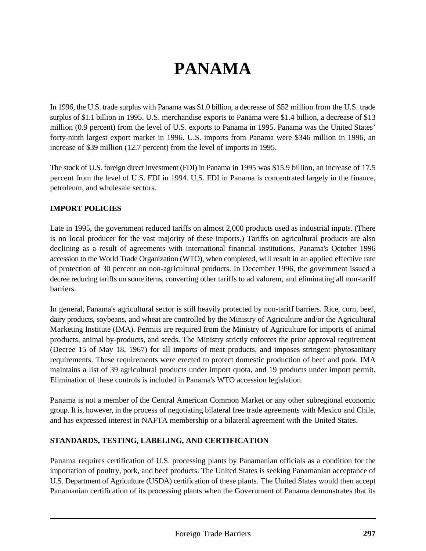# **PANAMA**

In 1996, the U.S. trade surplus with Panama was \$1.0 billion, a decrease of \$52 million from the U.S. trade surplus of \$1.1 billion in 1995. U.S. merchandise exports to Panama were \$1.4 billion, a decrease of \$13 million (0.9 percent) from the level of U.S. exports to Panama in 1995. Panama was the United States' forty-ninth largest export market in 1996. U.S. imports from Panama were \$346 million in 1996, an increase of \$39 million (12.7 percent) from the level of imports in 1995.

The stock of U.S. foreign direct investment (FDI) in Panama in 1995 was \$15.9 billion, an increase of 17.5 percent from the level of U.S. FDI in 1994. U.S. FDI in Panama is concentrated largely in the finance, petroleum, and wholesale sectors.

### **IMPORT POLICIES**

Late in 1995, the government reduced tariffs on almost 2,000 products used as industrial inputs. (There is no local producer for the vast majority of these imports.) Tariffs on agricultural products are also declining as a result of agreements with international financial institutions. Panama's October 1996 accession to the World Trade Organization (WTO), when completed, will result in an applied effective rate of protection of 30 percent on non-agricultural products. In December 1996, the government issued a decree reducing tariffs on some items, converting other tariffs to ad valorem, and eliminating all non-tariff barriers.

In general, Panama's agricultural sector is still heavily protected by non-tariff barriers. Rice, corn, beef, dairy products, soybeans, and wheat are controlled by the Ministry of Agriculture and/or the Agricultural Marketing Institute (IMA). Permits are required from the Ministry of Agriculture for imports of animal products, animal by-products, and seeds. The Ministry strictly enforces the prior approval requirement (Decree 15 of May 18, 1967) for all imports of meat products, and imposes stringent phytosanitary requirements. These requirements were erected to protect domestic production of beef and pork. IMA maintains a list of 39 agricultural products under import quota, and 19 products under import permit. Elimination of these controls is included in Panama's WTO accession legislation.

Panama is not a member of the Central American Common Market or any other subregional economic group. It is, however, in the process of negotiating bilateral free trade agreements with Mexico and Chile, and has expressed interest in NAFTA membership or a bilateral agreement with the United States.

#### **STANDARDS, TESTING, LABELING, AND CERTIFICATION**

Panama requires certification of U.S. processing plants by Panamanian officials as a condition for the importation of poultry, pork, and beef products. The United States is seeking Panamanian acceptance of U.S. Department of Agriculture (USDA) certification of these plants. The United States would then accept Panamanian certification of its processing plants when the Government of Panama demonstrates that its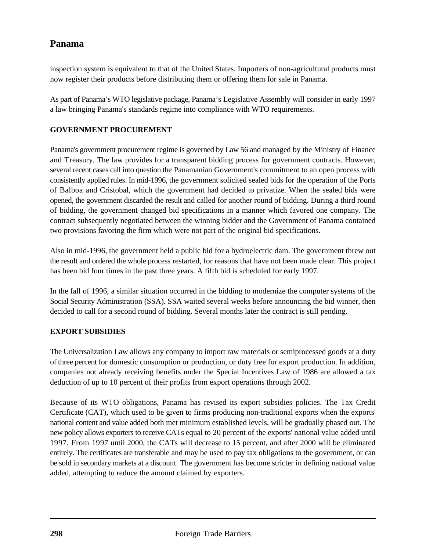## **Panama**

inspection system is equivalent to that of the United States. Importers of non-agricultural products must now register their products before distributing them or offering them for sale in Panama.

As part of Panama's WTO legislative package, Panama's Legislative Assembly will consider in early 1997 a law bringing Panama's standards regime into compliance with WTO requirements.

#### **GOVERNMENT PROCUREMENT**

Panama's government procurement regime is governed by Law 56 and managed by the Ministry of Finance and Treasury. The law provides for a transparent bidding process for government contracts. However, several recent cases call into question the Panamanian Government's commitment to an open process with consistently applied rules. In mid-1996, the government solicited sealed bids for the operation of the Ports of Balboa and Cristobal, which the government had decided to privatize. When the sealed bids were opened, the government discarded the result and called for another round of bidding. During a third round of bidding, the government changed bid specifications in a manner which favored one company. The contract subsequently negotiated between the winning bidder and the Government of Panama contained two provisions favoring the firm which were not part of the original bid specifications.

Also in mid-1996, the government held a public bid for a hydroelectric dam. The government threw out the result and ordered the whole process restarted, for reasons that have not been made clear. This project has been bid four times in the past three years. A fifth bid is scheduled for early 1997.

In the fall of 1996, a similar situation occurred in the bidding to modernize the computer systems of the Social Security Administration (SSA). SSA waited several weeks before announcing the bid winner, then decided to call for a second round of bidding. Several months later the contract is still pending.

#### **EXPORT SUBSIDIES**

The Universalization Law allows any company to import raw materials or semiprocessed goods at a duty of three percent for domestic consumption or production, or duty free for export production. In addition, companies not already receiving benefits under the Special Incentives Law of 1986 are allowed a tax deduction of up to 10 percent of their profits from export operations through 2002.

Because of its WTO obligations, Panama has revised its export subsidies policies. The Tax Credit Certificate (CAT), which used to be given to firms producing non-traditional exports when the exports' national content and value added both met minimum established levels, will be gradually phased out. The new policy allows exporters to receive CATs equal to 20 percent of the exports' national value added until 1997. From 1997 until 2000, the CATs will decrease to 15 percent, and after 2000 will be eliminated entirely. The certificates are transferable and may be used to pay tax obligations to the government, or can be sold in secondary markets at a discount. The government has become stricter in defining national value added, attempting to reduce the amount claimed by exporters.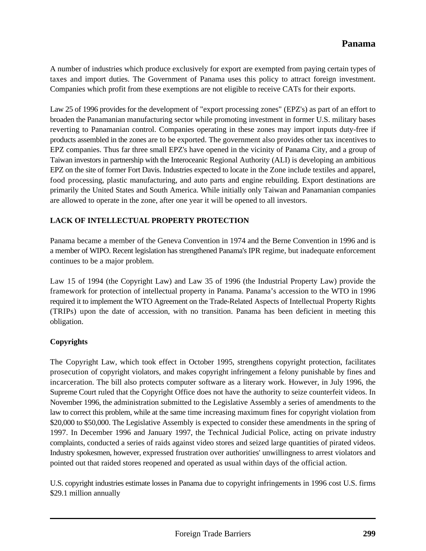A number of industries which produce exclusively for export are exempted from paying certain types of taxes and import duties. The Government of Panama uses this policy to attract foreign investment. Companies which profit from these exemptions are not eligible to receive CATs for their exports.

Law 25 of 1996 provides for the development of "export processing zones" (EPZ's) as part of an effort to broaden the Panamanian manufacturing sector while promoting investment in former U.S. military bases reverting to Panamanian control. Companies operating in these zones may import inputs duty-free if products assembled in the zones are to be exported. The government also provides other tax incentives to EPZ companies. Thus far three small EPZ's have opened in the vicinity of Panama City, and a group of Taiwan investors in partnership with the Interoceanic Regional Authority (ALI) is developing an ambitious EPZ on the site of former Fort Davis. Industries expected to locate in the Zone include textiles and apparel, food processing, plastic manufacturing, and auto parts and engine rebuilding. Export destinations are primarily the United States and South America. While initially only Taiwan and Panamanian companies are allowed to operate in the zone, after one year it will be opened to all investors.

#### **LACK OF INTELLECTUAL PROPERTY PROTECTION**

Panama became a member of the Geneva Convention in 1974 and the Berne Convention in 1996 and is a member of WIPO. Recent legislation has strengthened Panama's IPR regime, but inadequate enforcement continues to be a major problem.

Law 15 of 1994 (the Copyright Law) and Law 35 of 1996 (the Industrial Property Law) provide the framework for protection of intellectual property in Panama. Panama's accession to the WTO in 1996 required it to implement the WTO Agreement on the Trade-Related Aspects of Intellectual Property Rights (TRIPs) upon the date of accession, with no transition. Panama has been deficient in meeting this obligation.

#### **Copyrights**

The Copyright Law, which took effect in October 1995, strengthens copyright protection, facilitates prosecution of copyright violators, and makes copyright infringement a felony punishable by fines and incarceration. The bill also protects computer software as a literary work. However, in July 1996, the Supreme Court ruled that the Copyright Office does not have the authority to seize counterfeit videos. In November 1996, the administration submitted to the Legislative Assembly a series of amendments to the law to correct this problem, while at the same time increasing maximum fines for copyright violation from \$20,000 to \$50,000. The Legislative Assembly is expected to consider these amendments in the spring of 1997. In December 1996 and January 1997, the Technical Judicial Police, acting on private industry complaints, conducted a series of raids against video stores and seized large quantities of pirated videos. Industry spokesmen, however, expressed frustration over authorities' unwillingness to arrest violators and pointed out that raided stores reopened and operated as usual within days of the official action.

U.S. copyright industries estimate losses in Panama due to copyright infringements in 1996 cost U.S. firms \$29.1 million annually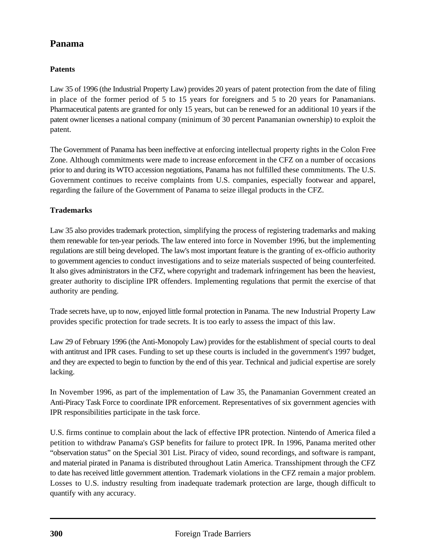# **Panama**

## **Patents**

Law 35 of 1996 (the Industrial Property Law) provides 20 years of patent protection from the date of filing in place of the former period of 5 to 15 years for foreigners and 5 to 20 years for Panamanians. Pharmaceutical patents are granted for only 15 years, but can be renewed for an additional 10 years if the patent owner licenses a national company (minimum of 30 percent Panamanian ownership) to exploit the patent.

The Government of Panama has been ineffective at enforcing intellectual property rights in the Colon Free Zone. Although commitments were made to increase enforcement in the CFZ on a number of occasions prior to and during its WTO accession negotiations, Panama has not fulfilled these commitments. The U.S. Government continues to receive complaints from U.S. companies, especially footwear and apparel, regarding the failure of the Government of Panama to seize illegal products in the CFZ.

## **Trademarks**

Law 35 also provides trademark protection, simplifying the process of registering trademarks and making them renewable for ten-year periods. The law entered into force in November 1996, but the implementing regulations are still being developed. The law's most important feature is the granting of ex-officio authority to government agencies to conduct investigations and to seize materials suspected of being counterfeited. It also gives administrators in the CFZ, where copyright and trademark infringement has been the heaviest, greater authority to discipline IPR offenders. Implementing regulations that permit the exercise of that authority are pending.

Trade secrets have, up to now, enjoyed little formal protection in Panama. The new Industrial Property Law provides specific protection for trade secrets. It is too early to assess the impact of this law.

Law 29 of February 1996 (the Anti-Monopoly Law) provides for the establishment of special courts to deal with antitrust and IPR cases. Funding to set up these courts is included in the government's 1997 budget, and they are expected to begin to function by the end of this year. Technical and judicial expertise are sorely lacking.

In November 1996, as part of the implementation of Law 35, the Panamanian Government created an Anti-Piracy Task Force to coordinate IPR enforcement. Representatives of six government agencies with IPR responsibilities participate in the task force.

U.S. firms continue to complain about the lack of effective IPR protection. Nintendo of America filed a petition to withdraw Panama's GSP benefits for failure to protect IPR. In 1996, Panama merited other "observation status" on the Special 301 List. Piracy of video, sound recordings, and software is rampant, and material pirated in Panama is distributed throughout Latin America. Transshipment through the CFZ to date has received little government attention. Trademark violations in the CFZ remain a major problem. Losses to U.S. industry resulting from inadequate trademark protection are large, though difficult to quantify with any accuracy.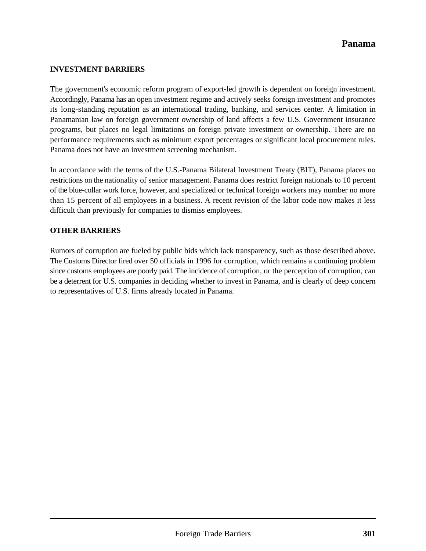#### **INVESTMENT BARRIERS**

The government's economic reform program of export-led growth is dependent on foreign investment. Accordingly, Panama has an open investment regime and actively seeks foreign investment and promotes its long-standing reputation as an international trading, banking, and services center. A limitation in Panamanian law on foreign government ownership of land affects a few U.S. Government insurance programs, but places no legal limitations on foreign private investment or ownership. There are no performance requirements such as minimum export percentages or significant local procurement rules. Panama does not have an investment screening mechanism.

In accordance with the terms of the U.S.-Panama Bilateral Investment Treaty (BIT), Panama places no restrictions on the nationality of senior management. Panama does restrict foreign nationals to 10 percent of the blue-collar work force, however, and specialized or technical foreign workers may number no more than 15 percent of all employees in a business. A recent revision of the labor code now makes it less difficult than previously for companies to dismiss employees.

#### **OTHER BARRIERS**

Rumors of corruption are fueled by public bids which lack transparency, such as those described above. The Customs Director fired over 50 officials in 1996 for corruption, which remains a continuing problem since customs employees are poorly paid. The incidence of corruption, or the perception of corruption, can be a deterrent for U.S. companies in deciding whether to invest in Panama, and is clearly of deep concern to representatives of U.S. firms already located in Panama.